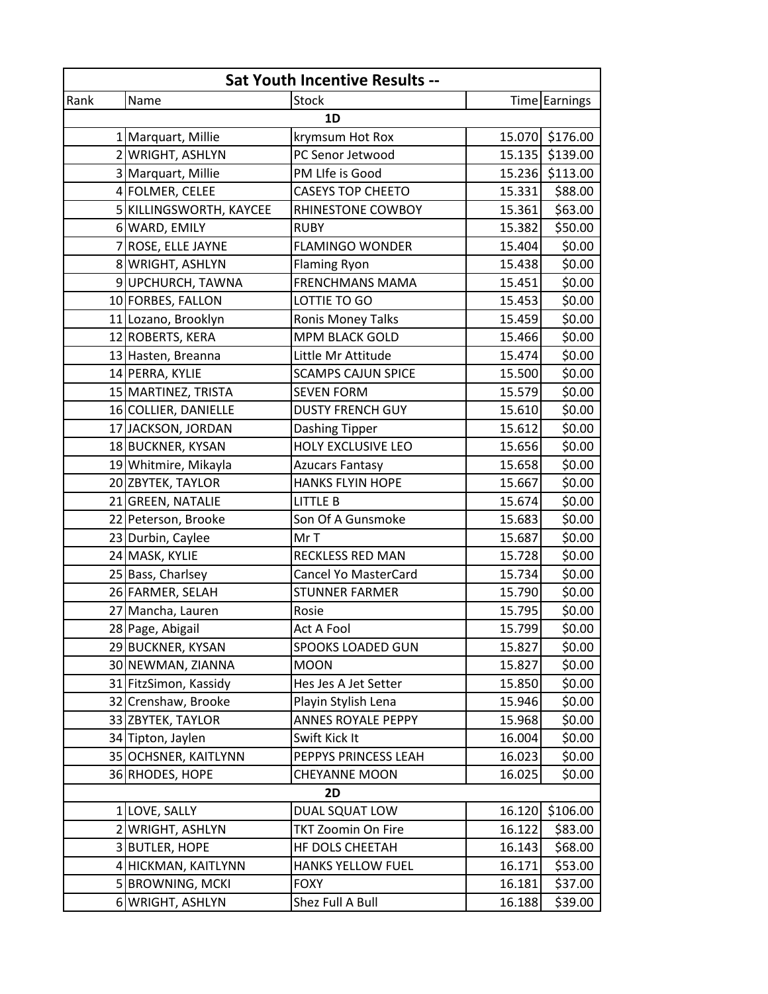| <b>Sat Youth Incentive Results --</b> |                         |                           |        |                 |  |  |
|---------------------------------------|-------------------------|---------------------------|--------|-----------------|--|--|
| Rank                                  | Name                    | Stock                     |        | Time Earnings   |  |  |
| 1D                                    |                         |                           |        |                 |  |  |
|                                       | 1 Marquart, Millie      | krymsum Hot Rox           |        | 15.070 \$176.00 |  |  |
|                                       | 2 WRIGHT, ASHLYN        | PC Senor Jetwood          |        | 15.135 \$139.00 |  |  |
|                                       | 3 Marquart, Millie      | PM LIfe is Good           |        | 15.236 \$113.00 |  |  |
|                                       | 4 FOLMER, CELEE         | <b>CASEYS TOP CHEETO</b>  | 15.331 | \$88.00         |  |  |
|                                       | 5 KILLINGSWORTH, KAYCEE | RHINESTONE COWBOY         | 15.361 | \$63.00         |  |  |
|                                       | 6 WARD, EMILY           | <b>RUBY</b>               | 15.382 | \$50.00         |  |  |
|                                       | 7 ROSE, ELLE JAYNE      | <b>FLAMINGO WONDER</b>    | 15.404 | \$0.00          |  |  |
|                                       | 8 WRIGHT, ASHLYN        | <b>Flaming Ryon</b>       | 15.438 | \$0.00          |  |  |
|                                       | 9 UPCHURCH, TAWNA       | <b>FRENCHMANS MAMA</b>    | 15.451 | \$0.00          |  |  |
|                                       | 10 FORBES, FALLON       | LOTTIE TO GO              | 15.453 | \$0.00          |  |  |
|                                       | 11 Lozano, Brooklyn     | <b>Ronis Money Talks</b>  | 15.459 | \$0.00          |  |  |
|                                       | 12 ROBERTS, KERA        | <b>MPM BLACK GOLD</b>     | 15.466 | \$0.00          |  |  |
|                                       | 13 Hasten, Breanna      | Little Mr Attitude        | 15.474 | \$0.00          |  |  |
|                                       | 14 PERRA, KYLIE         | <b>SCAMPS CAJUN SPICE</b> | 15.500 | \$0.00          |  |  |
|                                       | 15 MARTINEZ, TRISTA     | <b>SEVEN FORM</b>         | 15.579 | \$0.00          |  |  |
|                                       | 16 COLLIER, DANIELLE    | <b>DUSTY FRENCH GUY</b>   | 15.610 | \$0.00          |  |  |
|                                       | 17 JACKSON, JORDAN      | Dashing Tipper            | 15.612 | \$0.00          |  |  |
|                                       | 18 BUCKNER, KYSAN       | HOLY EXCLUSIVE LEO        | 15.656 | \$0.00          |  |  |
|                                       | 19 Whitmire, Mikayla    | <b>Azucars Fantasy</b>    | 15.658 | \$0.00          |  |  |
|                                       | 20 ZBYTEK, TAYLOR       | <b>HANKS FLYIN HOPE</b>   | 15.667 | \$0.00          |  |  |
|                                       | 21 GREEN, NATALIE       | <b>LITTLE B</b>           | 15.674 | \$0.00          |  |  |
|                                       | 22 Peterson, Brooke     | Son Of A Gunsmoke         | 15.683 | \$0.00          |  |  |
|                                       | 23 Durbin, Caylee       | Mr T                      | 15.687 | \$0.00          |  |  |
|                                       | 24 MASK, KYLIE          | RECKLESS RED MAN          | 15.728 | \$0.00          |  |  |
|                                       | 25 Bass, Charlsey       | Cancel Yo MasterCard      | 15.734 | \$0.00          |  |  |
|                                       | 26 FARMER, SELAH        | <b>STUNNER FARMER</b>     | 15.790 | \$0.00          |  |  |
| 27                                    | Mancha, Lauren          | Rosie                     | 15.795 | \$0.00          |  |  |
|                                       | 28 Page, Abigail        | Act A Fool                | 15.799 | \$0.00          |  |  |
|                                       | 29 BUCKNER, KYSAN       | SPOOKS LOADED GUN         | 15.827 | \$0.00          |  |  |
|                                       | 30 NEWMAN, ZIANNA       | <b>MOON</b>               | 15.827 | \$0.00          |  |  |
|                                       | 31 FitzSimon, Kassidy   | Hes Jes A Jet Setter      | 15.850 | \$0.00          |  |  |
|                                       | 32 Crenshaw, Brooke     | Playin Stylish Lena       | 15.946 | \$0.00          |  |  |
|                                       | 33 ZBYTEK, TAYLOR       | <b>ANNES ROYALE PEPPY</b> | 15.968 | \$0.00          |  |  |
|                                       | 34 Tipton, Jaylen       | Swift Kick It             | 16.004 | \$0.00          |  |  |
|                                       | 35 OCHSNER, KAITLYNN    | PEPPYS PRINCESS LEAH      | 16.023 | \$0.00          |  |  |
|                                       | 36 RHODES, HOPE         | <b>CHEYANNE MOON</b>      | 16.025 | \$0.00          |  |  |
| <b>2D</b>                             |                         |                           |        |                 |  |  |
|                                       | 1 LOVE, SALLY           | DUAL SQUAT LOW            | 16.120 | \$106.00        |  |  |
|                                       | 2 WRIGHT, ASHLYN        | <b>TKT Zoomin On Fire</b> | 16.122 | \$83.00         |  |  |
|                                       | 3 BUTLER, HOPE          | HF DOLS CHEETAH           | 16.143 | \$68.00         |  |  |
|                                       | 4 HICKMAN, KAITLYNN     | <b>HANKS YELLOW FUEL</b>  | 16.171 | \$53.00         |  |  |
|                                       | 5 BROWNING, MCKI        | <b>FOXY</b>               | 16.181 | \$37.00         |  |  |
|                                       | 6 WRIGHT, ASHLYN        | Shez Full A Bull          | 16.188 | \$39.00         |  |  |